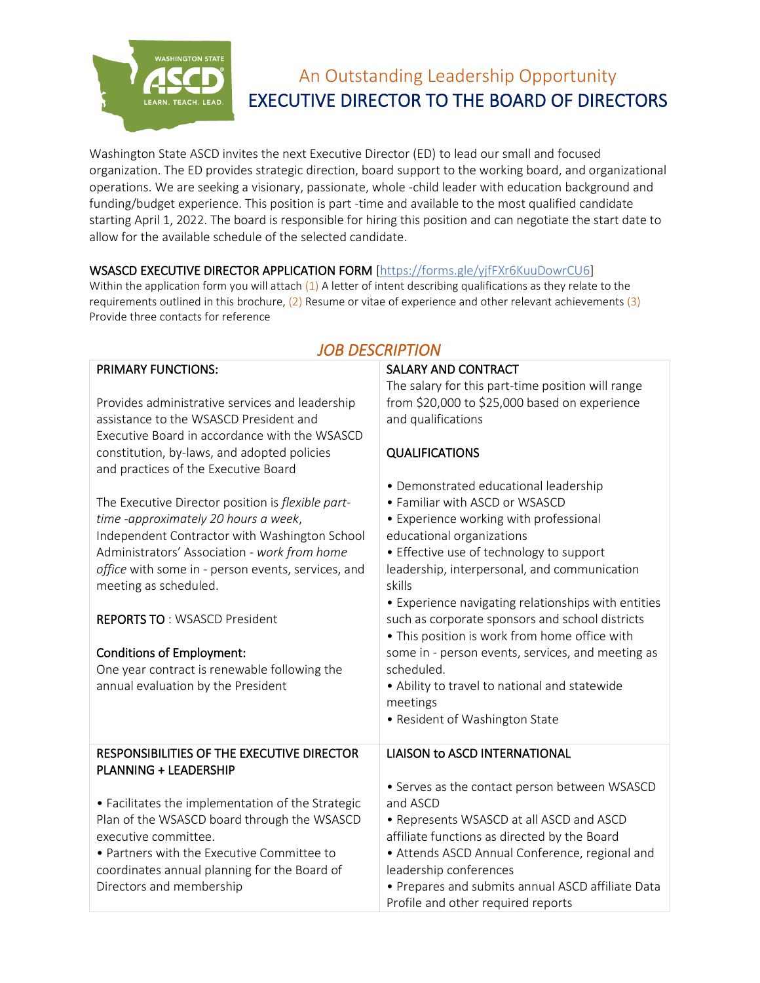

**PRIMARY FUNCTIONS:** 

# An Outstanding Leadership Opportunity EXECUTIVE DIRECTOR TO THE BOARD OF DIRECTORS

SALARY AND CONTRACT

Washington State ASCD invites the next Executive Director (ED) to lead our small and focused organization. The ED provides strategic direction, board support to the working board, and organizational operations. We are seeking a visionary, passionate, whole -child leader with education background and funding/budget experience. This position is part -time and available to the most qualified candidate starting April 1, 2022. The board is responsible for hiring this position and can negotiate the start date to allow for the available schedule of the selected candidate.

#### WSASCD EXECUTIVE DIRECTOR APPLICATION FORM [https://forms.gle/yjfFXr6KuuDowrCU6]

Within the application form you will attach  $(1)$  A letter of intent describing qualifications as they relate to the requirements outlined in this brochure, (2) Resume or vitae of experience and other relevant achievements (3) Provide three contacts for reference

| Provides administrative services and leadership<br>assistance to the WSASCD President and<br>Executive Board in accordance with the WSASCD<br>constitution, by-laws, and adopted policies<br>and practices of the Executive Board                                         | The salary for this part-time position will range<br>from \$20,000 to \$25,000 based on experience<br>and qualifications<br><b>QUALIFICATIONS</b>                                                                                                                                                           |
|---------------------------------------------------------------------------------------------------------------------------------------------------------------------------------------------------------------------------------------------------------------------------|-------------------------------------------------------------------------------------------------------------------------------------------------------------------------------------------------------------------------------------------------------------------------------------------------------------|
| The Executive Director position is flexible part-<br>time -approximately 20 hours a week,<br>Independent Contractor with Washington School<br>Administrators' Association - work from home<br>office with some in - person events, services, and<br>meeting as scheduled. | • Demonstrated educational leadership<br>• Familiar with ASCD or WSASCD<br>• Experience working with professional<br>educational organizations<br>• Effective use of technology to support<br>leadership, interpersonal, and communication<br>skills<br>• Experience navigating relationships with entities |
| <b>REPORTS TO: WSASCD President</b><br><b>Conditions of Employment:</b><br>One year contract is renewable following the<br>annual evaluation by the President                                                                                                             | such as corporate sponsors and school districts<br>. This position is work from home office with<br>some in - person events, services, and meeting as<br>scheduled.<br>• Ability to travel to national and statewide<br>meetings<br>• Resident of Washington State                                          |
| RESPONSIBILITIES OF THE EXECUTIVE DIRECTOR<br><b>PLANNING + LEADERSHIP</b>                                                                                                                                                                                                | <b>LIAISON to ASCD INTERNATIONAL</b><br>• Serves as the contact person between WSASCD                                                                                                                                                                                                                       |
| • Facilitates the implementation of the Strategic<br>Plan of the WSASCD board through the WSASCD<br>executive committee.<br>• Partners with the Executive Committee to<br>coordinates annual planning for the Board of<br>Directors and membership                        | and ASCD<br>• Represents WSASCD at all ASCD and ASCD<br>affiliate functions as directed by the Board<br>• Attends ASCD Annual Conference, regional and<br>leadership conferences<br>• Prepares and submits annual ASCD affiliate Data<br>Profile and other required reports                                 |

# *JOB DESCRIPTION*